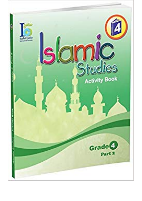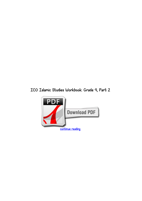## *ICO Islamic Studies Workbook: Grade 4, Part 2*

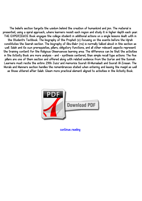*The beliefs section targets the wisdom behind the creation of humankind and jinn. The material is presented, using a spiral approach, where learners revisit each region and study it in higher depth each year. THE EXPERIENCE Book engages the college student in additional actions on a single lessons dealt with in*

*the Student's Textbook. The biography of the Prophet (s) focusing on the events before the Hijrah constitutes the Seerah section. The biography of Abu-Bakr (ra) is normally talked about in this section as well. Salah and its own prerequisites, pillars, obligatory functions, and all other relevant aspects represent the training content for the Religious Observances learning area. The difference can be that the activities in the Activity Book are more analysis - and - synthesis centered, than simple recall type actions. The five pillars are one of them section and offered along with related evidence from the Qur'an and the Sunnah. Learners must recite the entire 29th Juzu' and memorize Soorat Al-Mursalaat and Soorat Al-Insaan. The Morals and Manners section handles the remembrances stated when entering and leaving the masjid as well*

*as those uttered after Salah. Gleam more practical element aligned to activities in the Activity Book.*



*[continue reading](http://bit.ly/2Tge8Fv)*